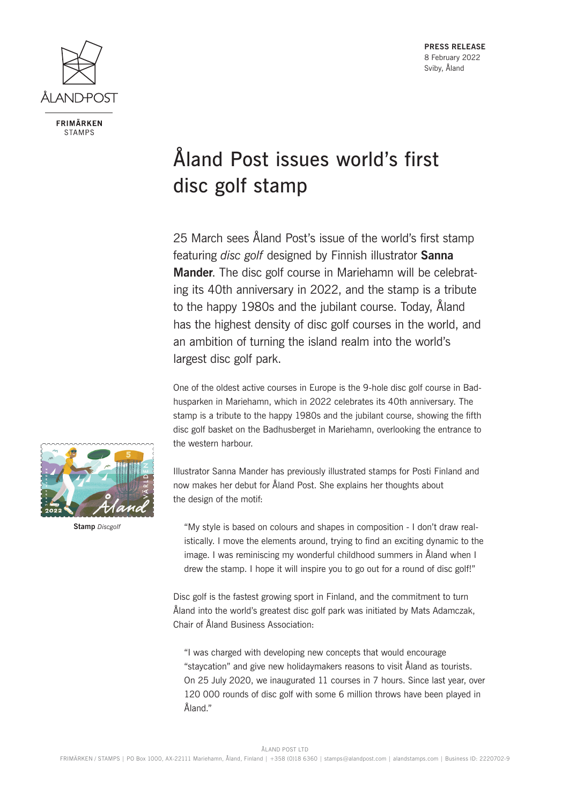

**FRIMÄRKEN STAMPS** 

**PRESS RELEASE** 8 February 2022 Sviby, Åland

## Åland Post issues world's first disc golf stamp

25 March sees Åland Post's issue of the world's first stamp featuring *disc golf* designed by Finnish illustrator **Sanna Mander**. The disc golf course in Mariehamn will be celebrating its 40th anniversary in 2022, and the stamp is a tribute to the happy 1980s and the jubilant course. Today, Åland has the highest density of disc golf courses in the world, and an ambition of turning the island realm into the world's largest disc golf park.

One of the oldest active courses in Europe is the 9-hole disc golf course in Badhusparken in Mariehamn, which in 2022 celebrates its 40th anniversary. The stamp is a tribute to the happy 1980s and the jubilant course, showing the fifth disc golf basket on the Badhusberget in Mariehamn, overlooking the entrance to the western harbour.

**Stamp** *Discgolf*

Illustrator Sanna Mander has previously illustrated stamps for Posti Finland and now makes her debut for Åland Post. She explains her thoughts about the design of the motif:

"My style is based on colours and shapes in composition - I don't draw realistically. I move the elements around, trying to find an exciting dynamic to the image. I was reminiscing my wonderful childhood summers in Åland when I drew the stamp. I hope it will inspire you to go out for a round of disc golf!"

Disc golf is the fastest growing sport in Finland, and the commitment to turn Åland into the world's greatest disc golf park was initiated by Mats Adamczak, Chair of Åland Business Association:

"I was charged with developing new concepts that would encourage "staycation" and give new holidaymakers reasons to visit Åland as tourists. On 25 July 2020, we inaugurated 11 courses in 7 hours. Since last year, over 120 000 rounds of disc golf with some 6 million throws have been played in Åland"